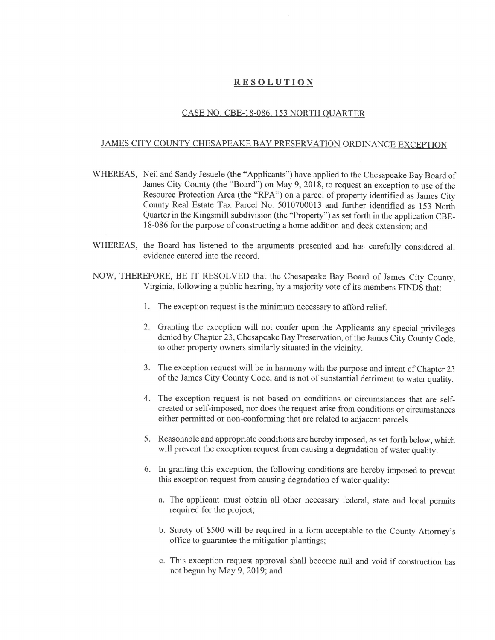## RESOLUTION

## CASE NO. CBE-18-086. 153 NORTH QUARTER

## JAMES CITY COUNTY CHESAPEAKE BAY PRESERVATION ORDINANCE EXCEPTION

- WHEREAS, Neil and Sandy Jesuele (the "Applicants") have applied to the Chesapeake Bay Board of James City County (the "Board") on May 9, 2018, to request an exception to use of the Resource Protection Area (the "RPA") on a parcel of property identified as James City County Real Estate Tax Parcel No. 5010700013 and further identified as 153 North Quarter in the Kingsmill subdivision (the "Property") as set forth in the application CBE-18-086 for the purpose of constructing a home addition and deck extension; and
- WHEREAS, the Board has listened to the arguments presented and has carefully considered all evidence entered into the record.
- NOW, THEREFORE, BE IT RESOLVED that the Chesapeake Bay Board of James City County, Virginia, following a public hearing, by a majority vote of its members FINDS that:
	- 1. The exception request is the minimum necessary to afford relief.
	- 2. Granting the exception will not confer upon the Applicants any special privileges denied by Chapter 23, Chesapeake Bay Preservation, of the James City County Code, to other property owners similarly situated in the vicinity.
	- 3. The exception request will be in harmony with the purpose and intent of Chapter 23 of the James City County Code, and is not of substantial detriment to water quality.
	- 4. The exception request is not based on conditions or circumstances that are selfcreated or self-imposed, nor does the request arise from conditions or circumstances either permitted or non-conforming that are related to adjacent parcels.
	- 5. Reasonable and appropriate conditions are hereby imposed, as set forth below, which will prevent the exception request from causing a degradation of water quality.
	- 6. In granting this exception, the following conditions are hereby imposed to prevent this exception request from causing degradation of water quality:
		- a. The applicant must obtain all other necessary federal, state and local permits required for the project;
		- b. Surety of \$500 will be required in a form acceptable to the County Attorney's office to guarantee the mitigation plantings;
		- c. This exception request approval shall become null and void if construction has not begun by May 9, 2019; and